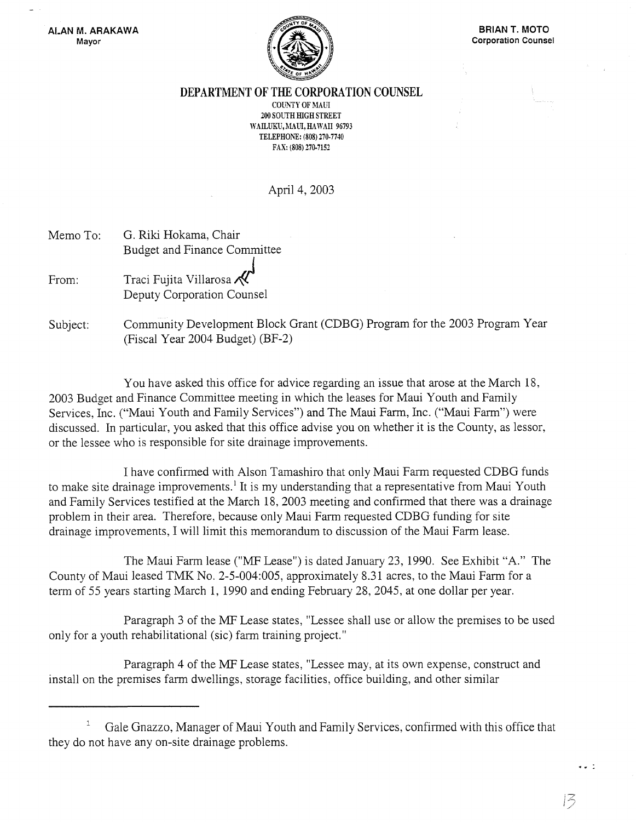

DEPARTMENT OF THE CORPORATION COUNSEL

COliNTY OF MAUl 200 SOUTH HIGH STREET WAILUKU, MAUI, HAWAII 96793 TELEPHONE: (808) 270-7740 FAX: (808) 270-7152

April 4, 2003

| Memo To: | G. Riki Hokama, Chair                                |
|----------|------------------------------------------------------|
|          | <b>Budget and Finance Committee</b>                  |
| From:    | Traci Fujita Villarosa<br>Deputy Corporation Counsel |

Subject: Community Development Block Grant (CDBG) Program for the 2003 Program Year (Fiscal Year 2004 Budget) (BF-2)

You have asked this office for advice regarding an issue that arose at the March 18, 2003 Budget and Finance Committee meeting in which the leases for Maui Youth and Family Services, Inc. ("Maui Youth and Family Services") and The Maui Farm, Inc. ("Maui Farm") were discussed. In particular, you asked that this office advise you on whether it is the County, as lessor, or the lessee who is responsible for site drainage improvements.

I have confirmed with Alson Tamashiro that only Maui Farm requested CDBG funds to make site drainage improvements.<sup>1</sup> It is my understanding that a representative from Maui Youth and Family Services testified at the March 18,2003 meeting and confirmed that there was a drainage problem in their area. Therefore, because only Maui Farm requested CDBG funding for site drainage improvements, I will limit this memorandum to discussion of the Maui Farm lease.

The Maui Farm lease ("MF Lease") is dated January 23, 1990. See Exhibit "A." The County of Maui leased TMK No. 2-5-004:005, approximately 8.31 acres, to the Maui Farm for a term of 55 years starting March 1, 1990 and ending February 28,2045, at one dollar per year.

Paragraph 3 of the MF Lease states, "Lessee shall use or allow the premises to be used only for a youth rehabilitational (sic) farm training project."

Paragraph 4 of the MF Lease states, "Lessee may, at its own expense, construct and install on the premises farm dwellings, storage facilities, office building, and other similar

13

 $\bullet$  .

Gale Gnazzo, Manager of Maui Youth and Family Services, confirmed with this office that they do not have anyon-site drainage problems.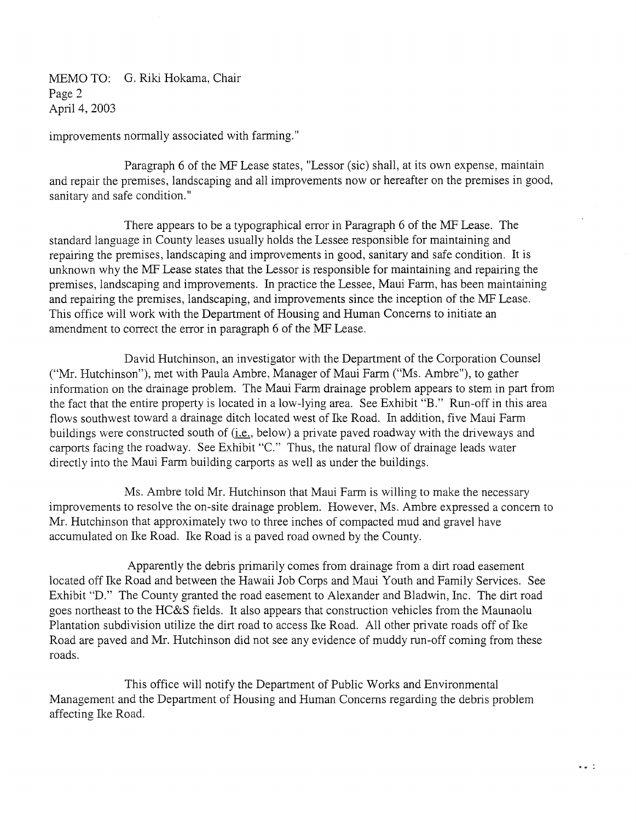MEMO TO: G. Riki Hokama, Chair Page 2 April 4, 2003

improvements normally associated with farming."

Paragraph 6 of the MF Lease states, "Lessor (sic) shall, at its own expense, maintain and repair the premises, landscaping and all improvements now or hereafter on the premises in good, sanitary and safe condition."

There appears to be a typographical error in Paragraph 6 of the MF Lease. The standard language in County leases usually holds the Lessee responsible for maintaining and repairing the premises, landscaping and improvements in good, sanitary and safe condition. It is unknown why the MF Lease states that the Lessor is responsible for maintaining and repairing the premises, landscaping and improvements. In practice the Lessee, Maui Farm, has been maintaining and repairing the premises, landscaping, and improvements since the inception of the MF Lease. This office will work with the Department of Housing and Human Concerns to initiate an amendment to correct the error in paragraph 6 of the MF Lease.

David Hutchinson, an investigator with the Department of the Corporation Counsel ("Mr. Hutchinson"), met with Paula Ambre, Manager of Maui Farm ("Ms. Ambre"), to gather information on the drainage problem. The Maui Farm drainage problem appears to stem in part from the fact that the entire property is located in a low-lying area. See Exhibit "B." Run-off in this area flows southwest toward a drainage ditch located west of Ike Road. In addition, five Maui Farm buildings were constructed south of (i.e., below) a private paved roadway with the driveways and carports facing the roadway. See Exhibit "C." Thus, the natural flow of drainage leads water directly into the Maui Farm building carports as well as under the buildings.

Ms. Ambre told Mr. Hutchinson that Maui Farm is willing to make the necessary improvements to resolve the on-site drainage problem. However, Ms. Ambre expressed a concern to Mr. Hutchinson that approximately two to three inches of compacted mud and gravel have accumulated on Ike Road. Ike Road is a paved road owned by the County.

Apparently the debris primarily comes from drainage from a dirt road easement located off Ike Road and between the Hawaii Job Corps and Maui Youth and Family Services. See Exhibit "D." The County granted the road easement to Alexander and Bladwin, Inc. The dirt road goes northeast to the HC&S fields. It also appears that construction vehicles from the Maunaolu Plantation subdivision utilize the dirt road to access Ike Road. All other private roads off of Ike Road are paved and Mr. Hutchinson did not see any evidence of muddy run-off coming from these roads.

This office will notify the Department of Public Works and Environmental Management and the Department of Housing and Human Concerns regarding the debris problem affecting Ike Road.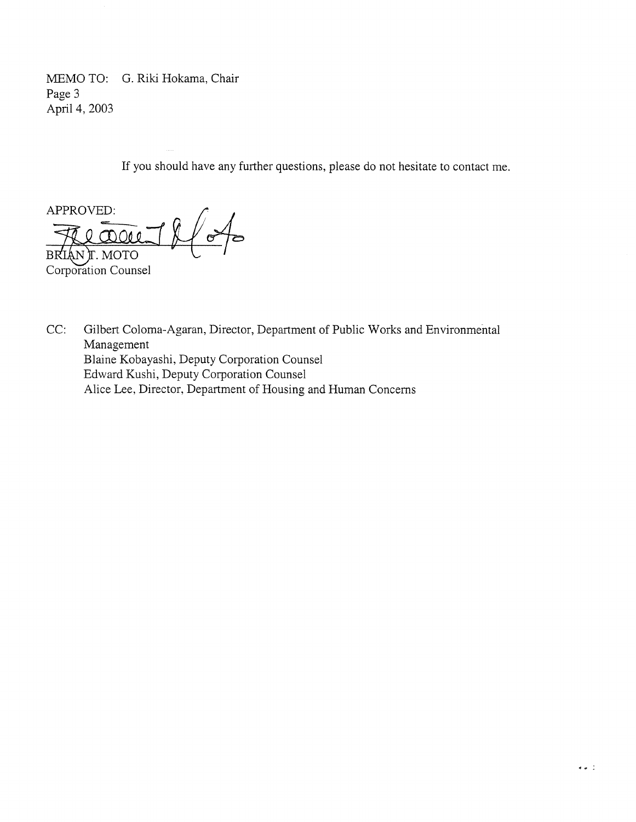MEMO TO: G. Riki Hokama, Chair Page 3 April 4, 2003

If you should have any further questions, please do not hesitate to contact me.

APPROVED:<br>Flease 1 lf BRIAN T. MOTO Corporation Counsel

CC: Gilbert Coloma-Agaran, Director, Department of Public Works and Environmental Management Blaine Kobayashi, Deputy Corporation Counsel Edward Kushi, Deputy Corporation Counsel Alice Lee, Director, Department of Housing and Human Concerns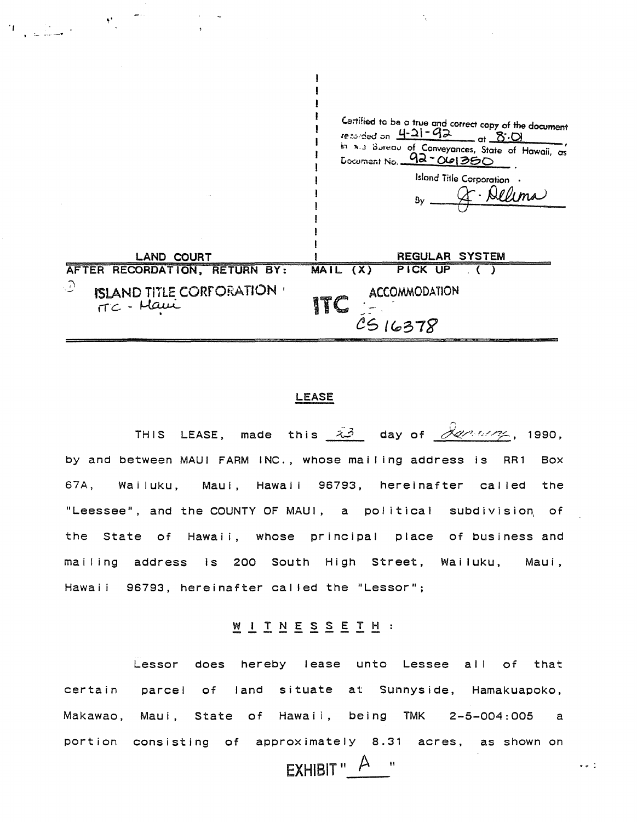

 $\mathbf{I}$ 

## **LEASE**

THIS LEASE, made this  $\tilde{A}$  day of  $\tilde{\mathcal{A}}$  1990, by and between MAUI FARM INC., whose mailing address is RR1 **Box** 67A, Wailuku, Maul, Hawaii 96793, hereinafter called the "Leessee", and the COUNTY OF MAUI, a political subdivision of the State of Hawaii, whose principal place of business and mailing address is 200 South High Street, Wailuku, Maui. Hawaii 96793, hereinafter called the "Lessor";

## WITNESSETH :

Lessor does hereby lease unto Lessee all of that certain parcel of land situate at Sunnyside, Hamakuapoko, Makawao, Maui, State of Hawaii, being TMK 2-5-004:005  $\overline{a}$ portion consisting of approximately 8.31 acres, as shown on EXHIBIT"  $A$  "

 $\bullet$   $\bullet$   $\stackrel{?}{\sim}$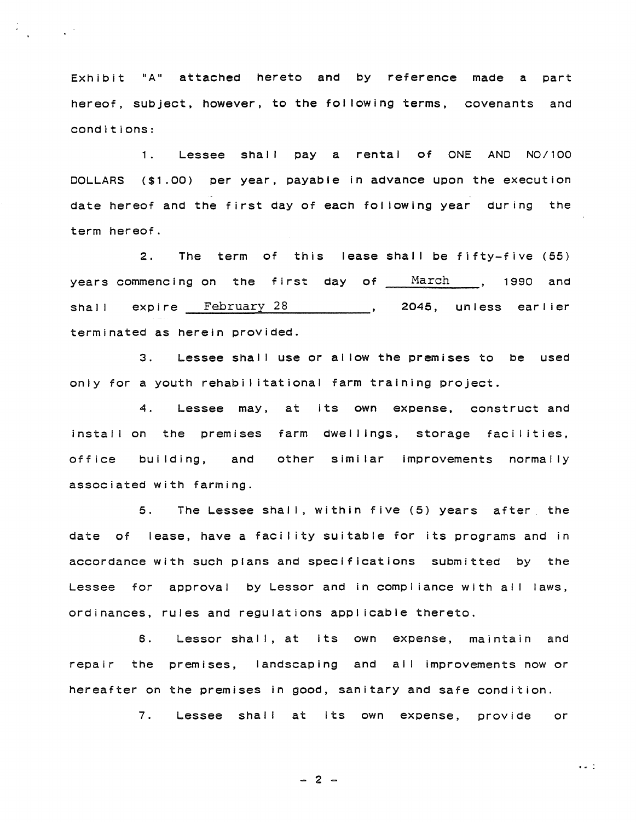Exhibit "A" attached hereto and by reference made a part hereof, subject, however, to the fol lowing terms, covenants and conditions:

 $\mathcal{L}^{\text{max}}_{\text{max}}$  ,  $\mathcal{L}^{\text{max}}_{\text{max}}$ 

1. Lessee shall pay a rental of ONE AND NO/100 DOLLARS (\$1.00) per year, payable in advance upon the execution date hereof and the first day of each fol lowing year during the term hereof.

2. The term of this lease shall be fifty-five (55) years commencing on the first day of March , 1990 and shall expire February 28 1000, 2045, unless earlier terminated as herein provided.

3. Lessee shall use or allow the premises to be used only for a youth rehabilitational farm training project.

4. Lessee may. at Its own expense, construct and install on the premises farm dwellings, storage facilities, office building, and other similar improvements normally associated with farming.

5. The Lessee shall, within five (5) years after the date of lease, have a facility suitable for its programs and in accordance with such plans and specifications submitted by the Lessee for approval by Lessor and in compliance with all laws, ordinances, rules and regulations appl icable thereto.

6. Lessor shall, at its own expense, maintain and repair the premises, landscaping and all improvements now or hereafter on the premises in good, sanitary and safe condition.

7. Lessee shall at its own expense, provide or

 $\bullet$   $\bullet$   $\ddots$ 

 $- 2 -$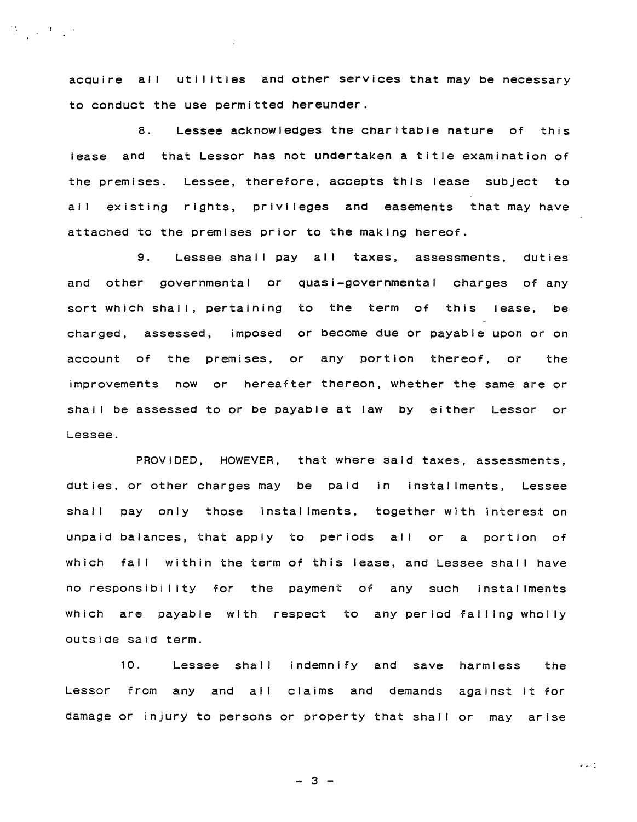acquire all utilities and other services that may be necessary to conduct the use permitted hereunder.

 $\mathcal{L}_{\text{max}} = \mathcal{L}_{\text{max}}$ 

8. Lessee acknowledges the charitable nature of this lease and that Lessor has not undertaken a title examination of the premises. Lessee, therefore, accepts this lease subject to all existing rights, privileges and easements that may have attached to the premises prior to the making hereof.

9. Lessee shall pay all taxes, assessments, duties and other governmental or quasi-governmental charges of any sort which shall, pertaining to the term of this lease, be charged, assessed, imposed or become due or payable upon or on account of the premises, or any portion thereof, or the improvements now or hereafter thereon, whether the same are or shall be assessed to or be payable at law by either Lessor or Lessee.

PROVIDED, HOWEVER, that where said taxes, assessments, duties, or other charges may be paid In installments, Lessee shall pay only those installments, together with interest on unpaid balances, that apply to periods all or a portion of which fall within the term of this lease, and Lessee shall have no responsibility for the payment of any such installments which are payable with respect to any period falling wholly outside said term.

10. Lessee shall indemnify and save harmless the Lessor from any and all claims and demands against it for damage or injury to persons or property that shall or may arise

 $- 3 -$ 

 $\bullet$   $\bullet$   $\ddot{\bullet}$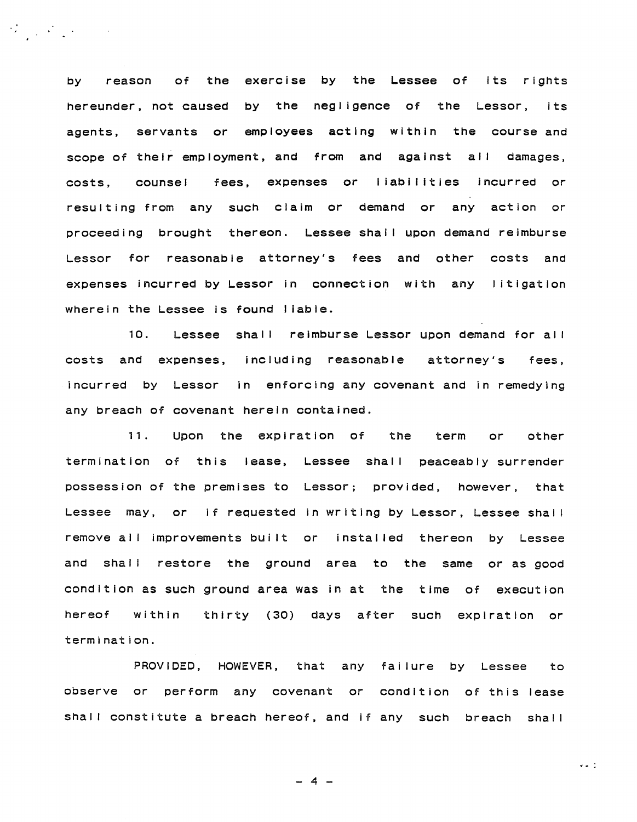by reason of the exercise by the Lessee of its rights hereunder, not caused by the negligence of the Lessor, its agents, servants or employees acting within the course and scope of their employment, and from and against al I damages, costs, counsel fe<mark>es, expenses or liabilities</mark> incurred or resulting from any such claim or demand or any action or proceeding brought thereon. Lessee shall upon demand reimburse Lessor for reasonable attorney's fees and other costs and expenses incurred by Lessor in connection with any litigation wherein the Lessee is found liable.

 $\mathcal{L}^{\mathcal{L}}_{\mathcal{L}}$  and  $\mathcal{L}^{\mathcal{L}}_{\mathcal{L}}$  and  $\mathcal{L}^{\mathcal{L}}_{\mathcal{L}}$  and  $\mathcal{L}^{\mathcal{L}}_{\mathcal{L}}$ 

10. Lessee shall reimburse Lessor upon demand for all costs and expenses, including reasonable attorney's fees, incurred by Lessor in enforcing any covenant and in remedying any breach of covenant herein contained.

11. Upon the expiration of the term or other termination of this lease, Lessee shall peaceably surrender possession of the premises to Lessor; provided, however, that Lessee may, or if requested in writing by Lessor, Lessee shall remove all improvements built or installed thereon by Lessee and shall restore the ground area to the same or as good condition as such ground area was in at the time of execution hereof within thirty (30) days after such expiration or termination.

PROVIDED, HOWEVER, that any failure by Lessee to observe or perform any covenant or condition of this lease shall constitute a breach hereof, and if any such breach shall

 $- 4 -$ 

 $\bullet$   $\bullet$   $\ddots$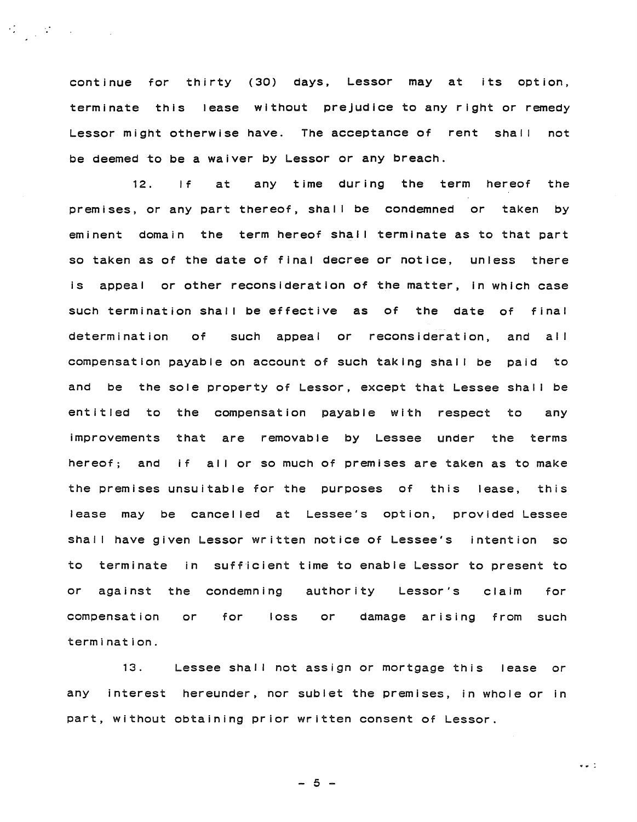continue for thirty (30) days, Lessor may at its option, terminate this lease without prejudice to any right or remedy Lessor might otherwise have. The acceptance of rent shall not be deemed to be a waiver by Lessor or any breach.

12. If at any time during the term hereof the premises, or any part thereof, shall be condemned or taken by eminent domain the term hereof shall terminate as to that part so taken as of the date of final decree or notice, unless there is appeal or other reconsideration of the matter, in which case such termination shall be effective as of the date of final determination of such appeal or reconsideration, and all compensation payable on account of such taking shall be paid to and be the sole property of Lessor, except that Lessee shall be entitled to the compensation payable with respect to any improvements that are removable by Lessee under the terms hereof; and if all or so much of premises are taken as to make the premises unsuitable for the purposes of this lease, this lease may be cancel led at Lessee's option, provided Lessee shall have given Lessor written notice of Lessee's intention so to terminate in sufficient time to enable Lessor to present to or against the condemning authority Lessor's claim for compensation termination. or for loss or damage arising from such

13. Lessee shall not assign or mortgage this lease or any interest hereunder, nor sublet the premises, in whole or in part, without obtaining prior written consent of Lessor.

 $-5 -$ 

 $\bullet$ . :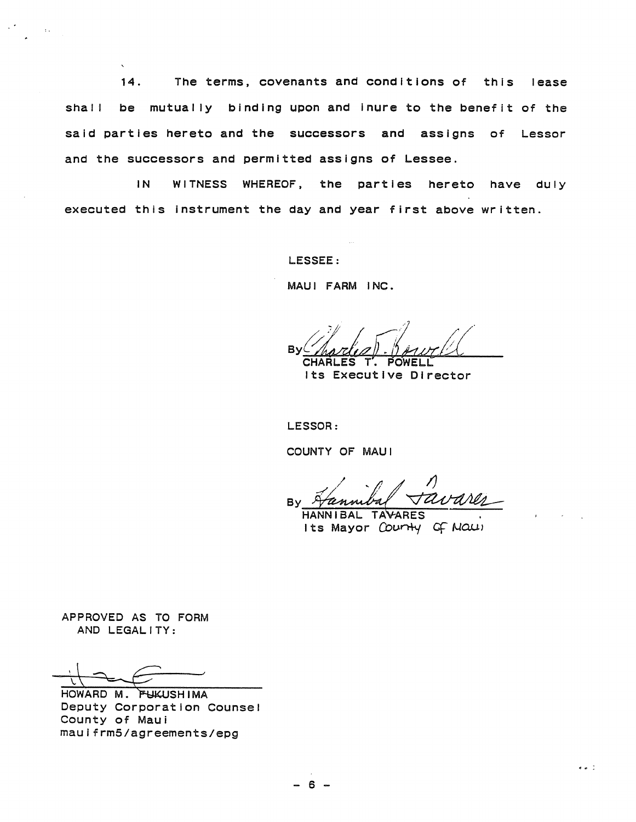14. The terms, covenants and conditions of this lease be mutually binding upon and inure to the benefit of the shall said parties hereto and the successors and assigns of Lessor and the successors and permitted assigns of Lessee.

WITNESS WHEREOF, the parties hereto have duly  $IN$ executed this instrument the day and year first above written.

LESSEE:

MAUI FARM INC.

BV

Its Executive Director

LESSOR:

COUNTY OF MAUI

**B**<sub>V</sub>

HANNIBAL TAVARES Its Mayor Courty of Maul

 $\sigma = 1$ 

APPROVED AS TO FORM AND LEGALITY:

HOWARD M. FUKUSHIMA Deputy Corporation Counsel County of Maui maulfrm5/agreements/epg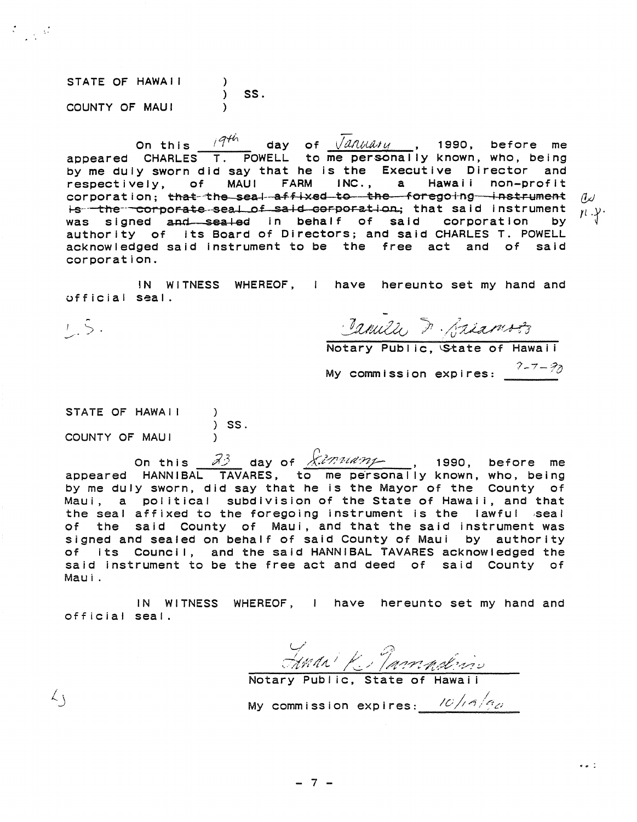STATE OF HAWAII  $)$  SS. COUNTY OF MAUI  $\lambda$ 

On this  $\frac{q^{th}}{1}$  day of  $\sqrt{d}$  and  $d$  the set or energy appeared CHARLES T. POWELL to me personally known, who, being by me duly sworn did say that he is the Executive Director and respectively, of MAUI FARM INC., a Hawaii non-profit corporation: that-the seal affixed to the foregoing instrument  $\mathcal{A}$ is the corporate seal of said corporation; that said instrument  $n \cdot Y$ was signed and sealed in behalf of said corporation by authority of its Board of Directors; and said CHARLES T. POWELL acknowledged said instrument to be the free act and of said corporation.

IN WITNESS WHEREOF, I have hereunto set my hand and official seal.

 $1.5.$ 

 $\langle \, \cdot \rangle$ 

 $\mathcal{F} = \mathcal{F}$ 

Island & Briannes

My commission expires:  $\frac{7-7-7}{2}$ 

STATE OF HAWAII  $\frac{1}{2}$  SS. COUNTY OF MAUI

On this 33 day of Amminisanglerian 1990, before me<br>appeared HANNIBAL TAVARES, to me personally known, who, being by me duly sworn, did say that he is the Mayor of the County of Maui, a political subdivision of the State of Hawaii, and that the seal affixed to the foregoing instrument is the lawful seal of the said County of Maui, and that the said instrument was signed and sealed on behalf of said County of Maui by authority of its Council, and the said HANNIBAL TAVARES acknowledged the said instrument to be the free act and deed of said County of Maui.

IN WITNESS WHEREOF, I have hereunto set my hand and official seal.

HMAN K Mannalino

 $\bullet$   $\bullet$   $\stackrel{?}{\sim}$ 

My commission expires:  $10/16/g_{\phi}$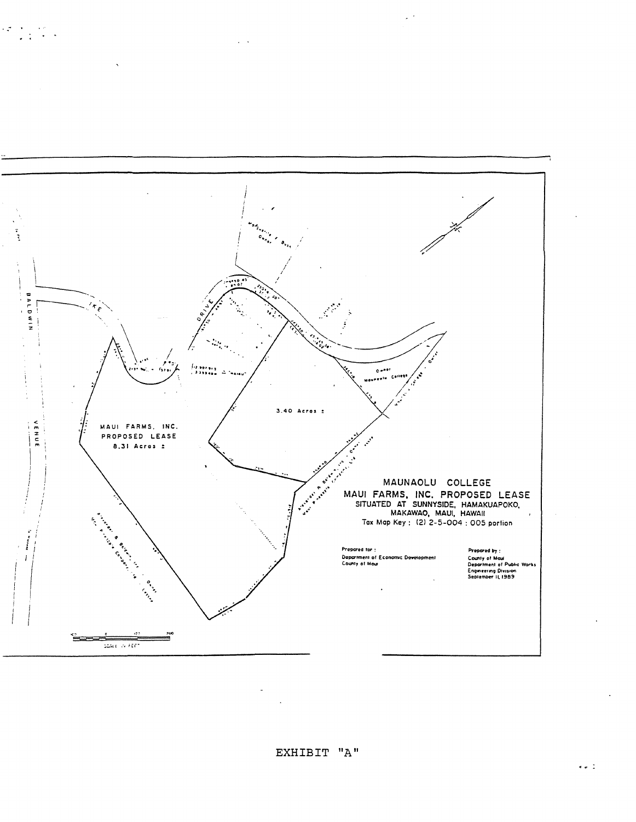

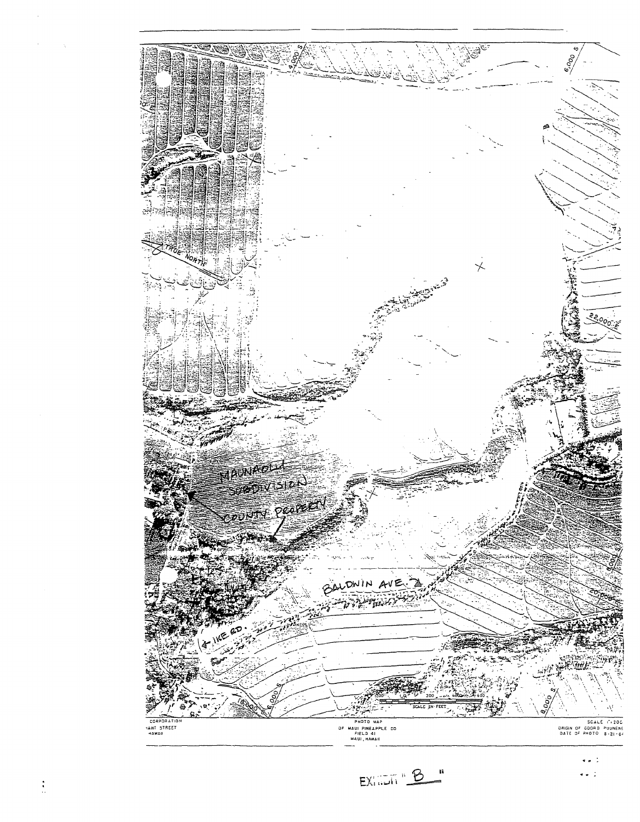

 $EX. \overline{AB} \cdot \underline{B}$ Ţ,

 $\bullet$   $\bullet$   $\frac{1}{2}$ 

 $\bullet$   $\frac{1}{2}$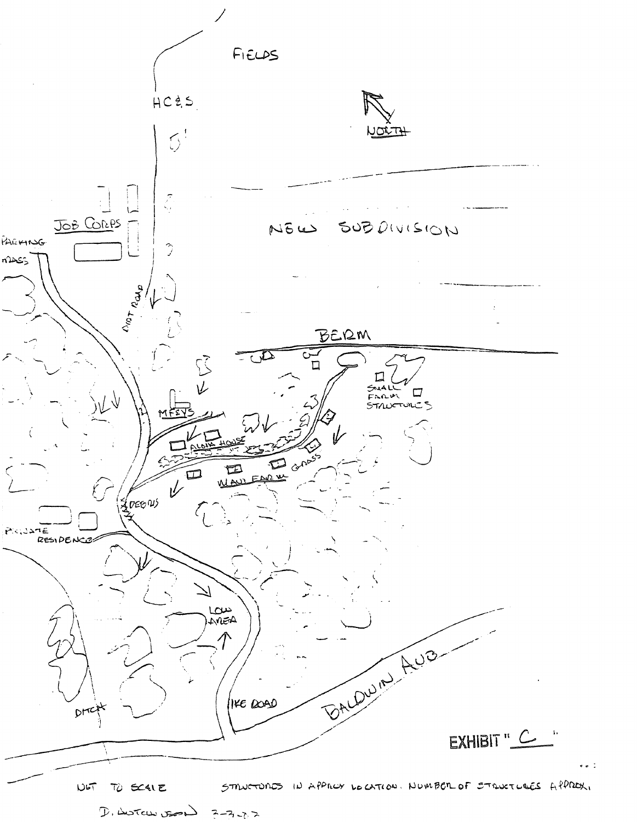